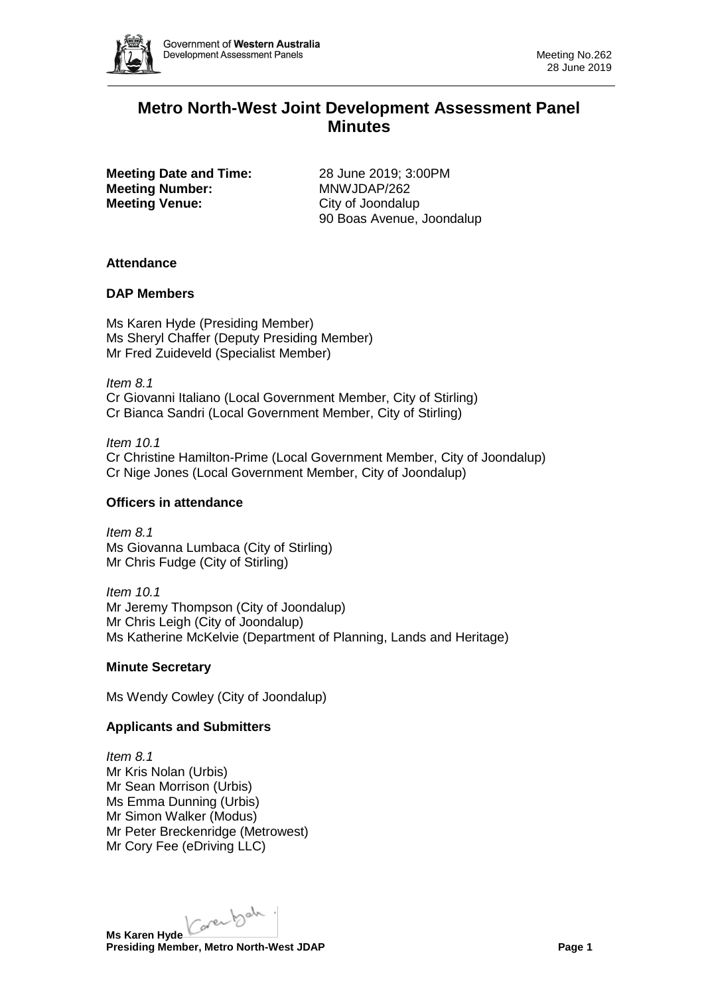

# **Metro North-West Joint Development Assessment Panel Minutes**

**Meeting Date and Time:** 28 June 2019; 3:00PM **Meeting Number:** MNWJDAP/262 **Meeting Venue:** City of Joondalup

90 Boas Avenue, Joondalup

# **Attendance**

### **DAP Members**

Ms Karen Hyde (Presiding Member) Ms Sheryl Chaffer (Deputy Presiding Member) Mr Fred Zuideveld (Specialist Member)

*Item 8.1* Cr Giovanni Italiano (Local Government Member, City of Stirling) Cr Bianca Sandri (Local Government Member, City of Stirling)

*Item 10.1* Cr Christine Hamilton-Prime (Local Government Member, City of Joondalup) Cr Nige Jones (Local Government Member, City of Joondalup)

#### **Officers in attendance**

*Item 8.1* Ms Giovanna Lumbaca (City of Stirling) Mr Chris Fudge (City of Stirling)

*Item 10.1* Mr Jeremy Thompson (City of Joondalup) Mr Chris Leigh (City of Joondalup) Ms Katherine McKelvie (Department of Planning, Lands and Heritage)

#### **Minute Secretary**

Ms Wendy Cowley (City of Joondalup)

# **Applicants and Submitters**

*Item 8.1* Mr Kris Nolan (Urbis) Mr Sean Morrison (Urbis) Ms Emma Dunning (Urbis) Mr Simon Walker (Modus) Mr Peter Breckenridge (Metrowest) Mr Cory Fee (eDriving LLC)

Karenbah. **Ms Karen Hyde**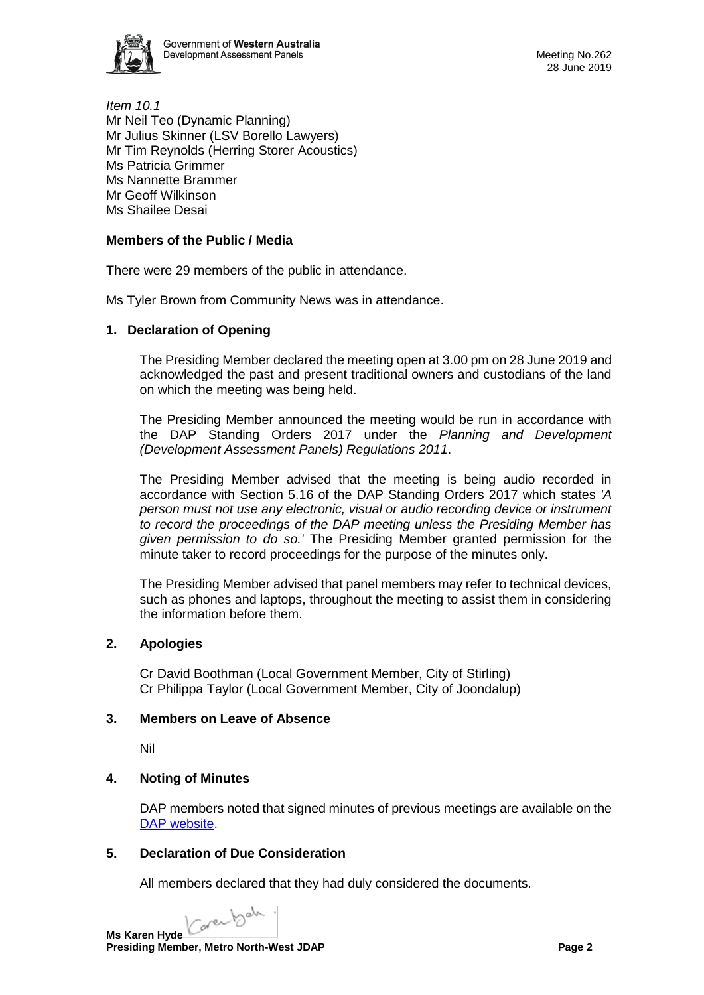

*Item 10.1* Mr Neil Teo (Dynamic Planning) Mr Julius Skinner (LSV Borello Lawyers) Mr Tim Reynolds (Herring Storer Acoustics) Ms Patricia Grimmer Ms Nannette Brammer Mr Geoff Wilkinson Ms Shailee Desai

# **Members of the Public / Media**

There were 29 members of the public in attendance.

Ms Tyler Brown from Community News was in attendance.

### **1. Declaration of Opening**

The Presiding Member declared the meeting open at 3.00 pm on 28 June 2019 and acknowledged the past and present traditional owners and custodians of the land on which the meeting was being held.

The Presiding Member announced the meeting would be run in accordance with the DAP Standing Orders 2017 under the *Planning and Development (Development Assessment Panels) Regulations 2011*.

The Presiding Member advised that the meeting is being audio recorded in accordance with Section 5.16 of the DAP Standing Orders 2017 which states *'A person must not use any electronic, visual or audio recording device or instrument to record the proceedings of the DAP meeting unless the Presiding Member has given permission to do so.'* The Presiding Member granted permission for the minute taker to record proceedings for the purpose of the minutes only.

The Presiding Member advised that panel members may refer to technical devices, such as phones and laptops, throughout the meeting to assist them in considering the information before them.

# **2. Apologies**

Cr David Boothman (Local Government Member, City of Stirling) Cr Philippa Taylor (Local Government Member, City of Joondalup)

#### **3. Members on Leave of Absence**

Nil

# **4. Noting of Minutes**

DAP members noted that signed minutes of previous meetings are available on the [DAP website.](https://www.dplh.wa.gov.au/about/development-assessment-panels/daps-agendas-and-minutes)

#### **5. Declaration of Due Consideration**

All members declared that they had duly considered the documents.

Carental .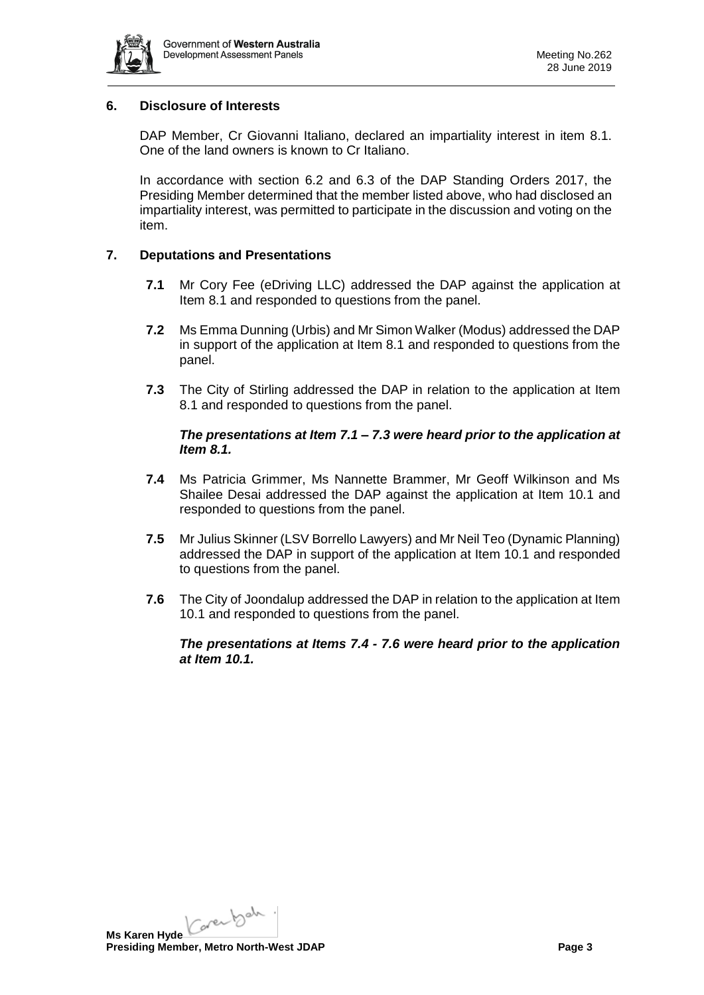

#### **6. Disclosure of Interests**

DAP Member, Cr Giovanni Italiano, declared an impartiality interest in item 8.1. One of the land owners is known to Cr Italiano.

In accordance with section 6.2 and 6.3 of the DAP Standing Orders 2017, the Presiding Member determined that the member listed above, who had disclosed an impartiality interest, was permitted to participate in the discussion and voting on the item.

# **7. Deputations and Presentations**

- **7.1** Mr Cory Fee (eDriving LLC) addressed the DAP against the application at Item 8.1 and responded to questions from the panel.
- **7.2** Ms Emma Dunning (Urbis) and Mr Simon Walker (Modus) addressed the DAP in support of the application at Item 8.1 and responded to questions from the panel.
- **7.3** The City of Stirling addressed the DAP in relation to the application at Item 8.1 and responded to questions from the panel.

### *The presentations at Item 7.1 – 7.3 were heard prior to the application at Item 8.1.*

- **7.4** Ms Patricia Grimmer, Ms Nannette Brammer, Mr Geoff Wilkinson and Ms Shailee Desai addressed the DAP against the application at Item 10.1 and responded to questions from the panel.
- **7.5** Mr Julius Skinner (LSV Borrello Lawyers) and Mr Neil Teo (Dynamic Planning) addressed the DAP in support of the application at Item 10.1 and responded to questions from the panel.
- **7.6** The City of Joondalup addressed the DAP in relation to the application at Item 10.1 and responded to questions from the panel.

### *The presentations at Items 7.4 - 7.6 were heard prior to the application at Item 10.1.*

Ms Karen Hyde Care back. **Presiding Member, Metro North-West JDAP Page 3 Page 3**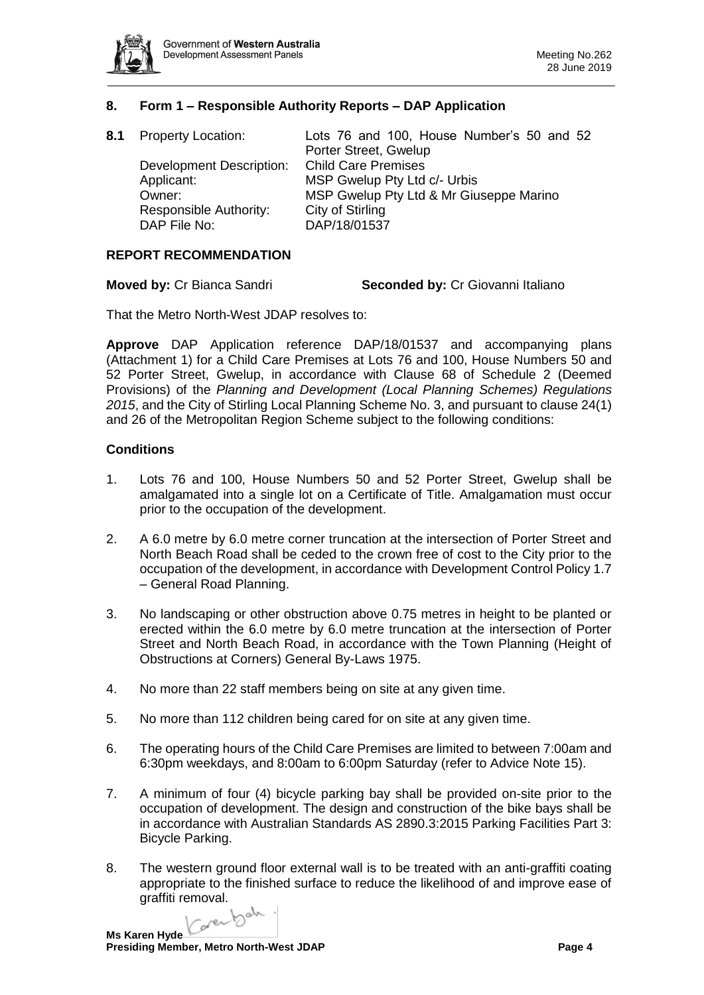

# **8. Form 1 – Responsible Authority Reports – DAP Application**

| 8.1 Property Location:          | Lots 76 and 100, House Number's 50 and 52 |
|---------------------------------|-------------------------------------------|
|                                 | Porter Street, Gwelup                     |
| <b>Development Description:</b> | <b>Child Care Premises</b>                |
| Applicant:                      | MSP Gwelup Pty Ltd c/- Urbis              |
| Owner:                          | MSP Gwelup Pty Ltd & Mr Giuseppe Marino   |
| Responsible Authority:          | City of Stirling                          |
| DAP File No:                    | DAP/18/01537                              |

#### **REPORT RECOMMENDATION**

**Moved by:** Cr Bianca Sandri **Seconded by:** Cr Giovanni Italiano

That the Metro North-West JDAP resolves to:

**Approve** DAP Application reference DAP/18/01537 and accompanying plans (Attachment 1) for a Child Care Premises at Lots 76 and 100, House Numbers 50 and 52 Porter Street, Gwelup, in accordance with Clause 68 of Schedule 2 (Deemed Provisions) of the *Planning and Development (Local Planning Schemes) Regulations 2015*, and the City of Stirling Local Planning Scheme No. 3, and pursuant to clause 24(1) and 26 of the Metropolitan Region Scheme subject to the following conditions:

#### **Conditions**

- 1. Lots 76 and 100, House Numbers 50 and 52 Porter Street, Gwelup shall be amalgamated into a single lot on a Certificate of Title. Amalgamation must occur prior to the occupation of the development.
- 2. A 6.0 metre by 6.0 metre corner truncation at the intersection of Porter Street and North Beach Road shall be ceded to the crown free of cost to the City prior to the occupation of the development, in accordance with Development Control Policy 1.7 – General Road Planning.
- 3. No landscaping or other obstruction above 0.75 metres in height to be planted or erected within the 6.0 metre by 6.0 metre truncation at the intersection of Porter Street and North Beach Road, in accordance with the Town Planning (Height of Obstructions at Corners) General By-Laws 1975.
- 4. No more than 22 staff members being on site at any given time.
- 5. No more than 112 children being cared for on site at any given time.
- 6. The operating hours of the Child Care Premises are limited to between 7:00am and 6:30pm weekdays, and 8:00am to 6:00pm Saturday (refer to Advice Note 15).
- 7. A minimum of four (4) bicycle parking bay shall be provided on-site prior to the occupation of development. The design and construction of the bike bays shall be in accordance with Australian Standards AS 2890.3:2015 Parking Facilities Part 3: Bicycle Parking.
- 8. The western ground floor external wall is to be treated with an anti-graffiti coating appropriate to the finished surface to reduce the likelihood of and improve ease of graffiti removal.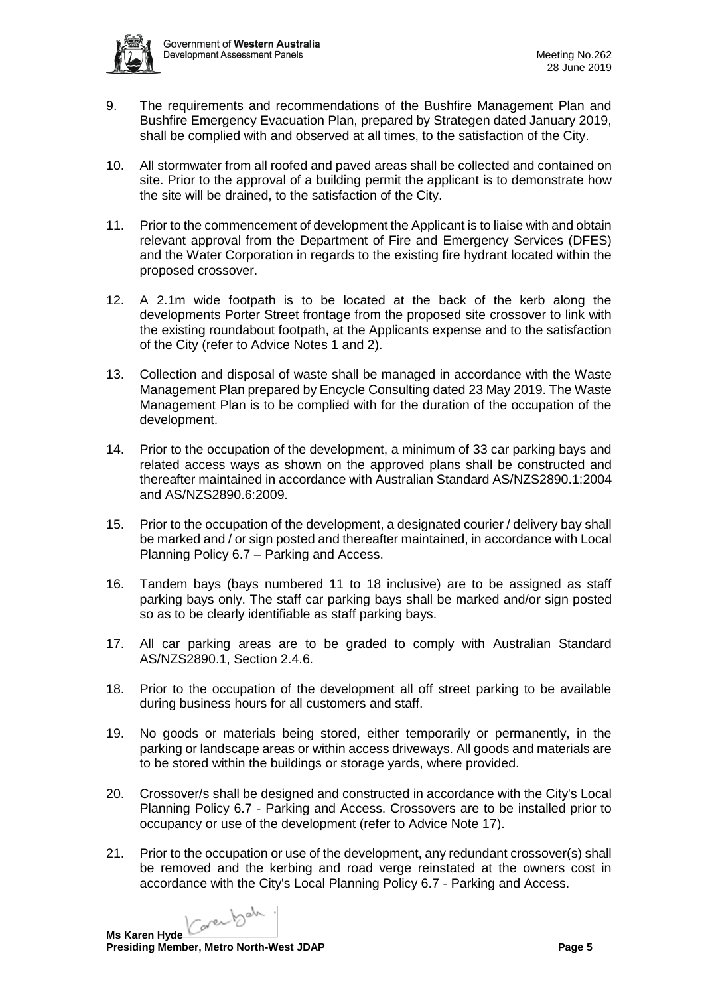

- 9. The requirements and recommendations of the Bushfire Management Plan and Bushfire Emergency Evacuation Plan, prepared by Strategen dated January 2019, shall be complied with and observed at all times, to the satisfaction of the City.
- 10. All stormwater from all roofed and paved areas shall be collected and contained on site. Prior to the approval of a building permit the applicant is to demonstrate how the site will be drained, to the satisfaction of the City.
- 11. Prior to the commencement of development the Applicant is to liaise with and obtain relevant approval from the Department of Fire and Emergency Services (DFES) and the Water Corporation in regards to the existing fire hydrant located within the proposed crossover.
- 12. A 2.1m wide footpath is to be located at the back of the kerb along the developments Porter Street frontage from the proposed site crossover to link with the existing roundabout footpath, at the Applicants expense and to the satisfaction of the City (refer to Advice Notes 1 and 2).
- 13. Collection and disposal of waste shall be managed in accordance with the Waste Management Plan prepared by Encycle Consulting dated 23 May 2019. The Waste Management Plan is to be complied with for the duration of the occupation of the development.
- 14. Prior to the occupation of the development, a minimum of 33 car parking bays and related access ways as shown on the approved plans shall be constructed and thereafter maintained in accordance with Australian Standard AS/NZS2890.1:2004 and AS/NZS2890.6:2009.
- 15. Prior to the occupation of the development, a designated courier / delivery bay shall be marked and / or sign posted and thereafter maintained, in accordance with Local Planning Policy 6.7 – Parking and Access.
- 16. Tandem bays (bays numbered 11 to 18 inclusive) are to be assigned as staff parking bays only. The staff car parking bays shall be marked and/or sign posted so as to be clearly identifiable as staff parking bays.
- 17. All car parking areas are to be graded to comply with Australian Standard AS/NZS2890.1, Section 2.4.6.
- 18. Prior to the occupation of the development all off street parking to be available during business hours for all customers and staff.
- 19. No goods or materials being stored, either temporarily or permanently, in the parking or landscape areas or within access driveways. All goods and materials are to be stored within the buildings or storage yards, where provided.
- 20. Crossover/s shall be designed and constructed in accordance with the City's Local Planning Policy 6.7 - Parking and Access. Crossovers are to be installed prior to occupancy or use of the development (refer to Advice Note 17).
- 21. Prior to the occupation or use of the development, any redundant crossover(s) shall be removed and the kerbing and road verge reinstated at the owners cost in accordance with the City's Local Planning Policy 6.7 - Parking and Access.

Carental . **Ms Karen Hyde**

**Presiding Member, Metro North-West JDAP Page 5 Page 5**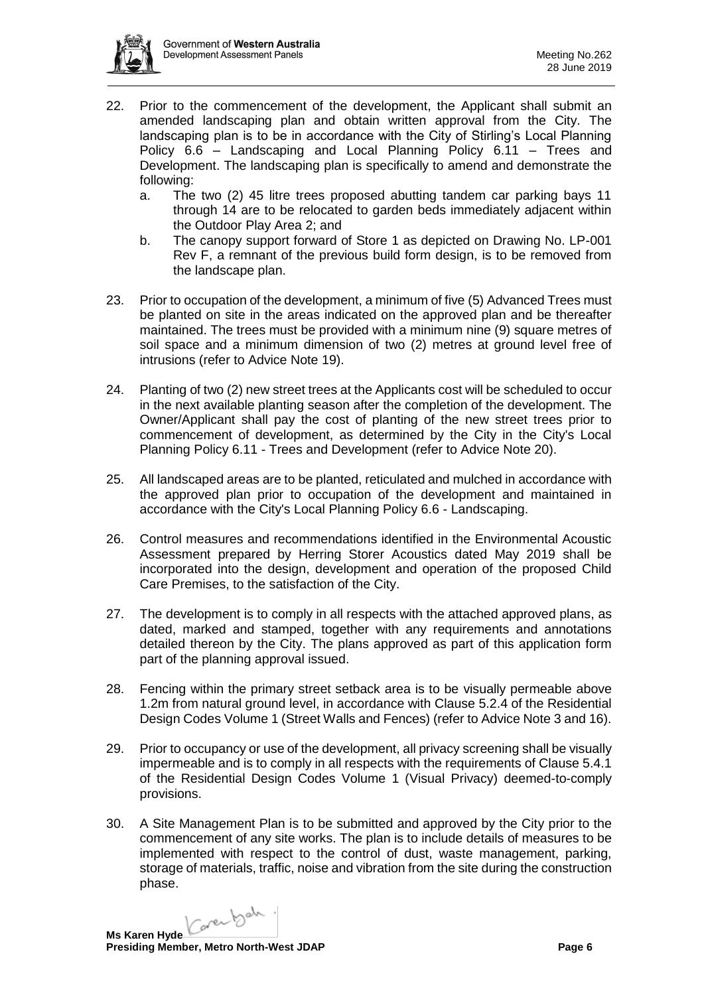

- 22. Prior to the commencement of the development, the Applicant shall submit an amended landscaping plan and obtain written approval from the City. The landscaping plan is to be in accordance with the City of Stirling's Local Planning Policy 6.6 – Landscaping and Local Planning Policy 6.11 – Trees and Development. The landscaping plan is specifically to amend and demonstrate the following:
	- a. The two (2) 45 litre trees proposed abutting tandem car parking bays 11 through 14 are to be relocated to garden beds immediately adjacent within the Outdoor Play Area 2; and
	- b. The canopy support forward of Store 1 as depicted on Drawing No. LP-001 Rev F, a remnant of the previous build form design, is to be removed from the landscape plan.
- 23. Prior to occupation of the development, a minimum of five (5) Advanced Trees must be planted on site in the areas indicated on the approved plan and be thereafter maintained. The trees must be provided with a minimum nine (9) square metres of soil space and a minimum dimension of two (2) metres at ground level free of intrusions (refer to Advice Note 19).
- 24. Planting of two (2) new street trees at the Applicants cost will be scheduled to occur in the next available planting season after the completion of the development. The Owner/Applicant shall pay the cost of planting of the new street trees prior to commencement of development, as determined by the City in the City's Local Planning Policy 6.11 - Trees and Development (refer to Advice Note 20).
- 25. All landscaped areas are to be planted, reticulated and mulched in accordance with the approved plan prior to occupation of the development and maintained in accordance with the City's Local Planning Policy 6.6 - Landscaping.
- 26. Control measures and recommendations identified in the Environmental Acoustic Assessment prepared by Herring Storer Acoustics dated May 2019 shall be incorporated into the design, development and operation of the proposed Child Care Premises, to the satisfaction of the City.
- 27. The development is to comply in all respects with the attached approved plans, as dated, marked and stamped, together with any requirements and annotations detailed thereon by the City. The plans approved as part of this application form part of the planning approval issued.
- 28. Fencing within the primary street setback area is to be visually permeable above 1.2m from natural ground level, in accordance with Clause 5.2.4 of the Residential Design Codes Volume 1 (Street Walls and Fences) (refer to Advice Note 3 and 16).
- 29. Prior to occupancy or use of the development, all privacy screening shall be visually impermeable and is to comply in all respects with the requirements of Clause 5.4.1 of the Residential Design Codes Volume 1 (Visual Privacy) deemed-to-comply provisions.
- 30. A Site Management Plan is to be submitted and approved by the City prior to the commencement of any site works. The plan is to include details of measures to be implemented with respect to the control of dust, waste management, parking, storage of materials, traffic, noise and vibration from the site during the construction phase.

Caren bah. **Ms Karen Hyde**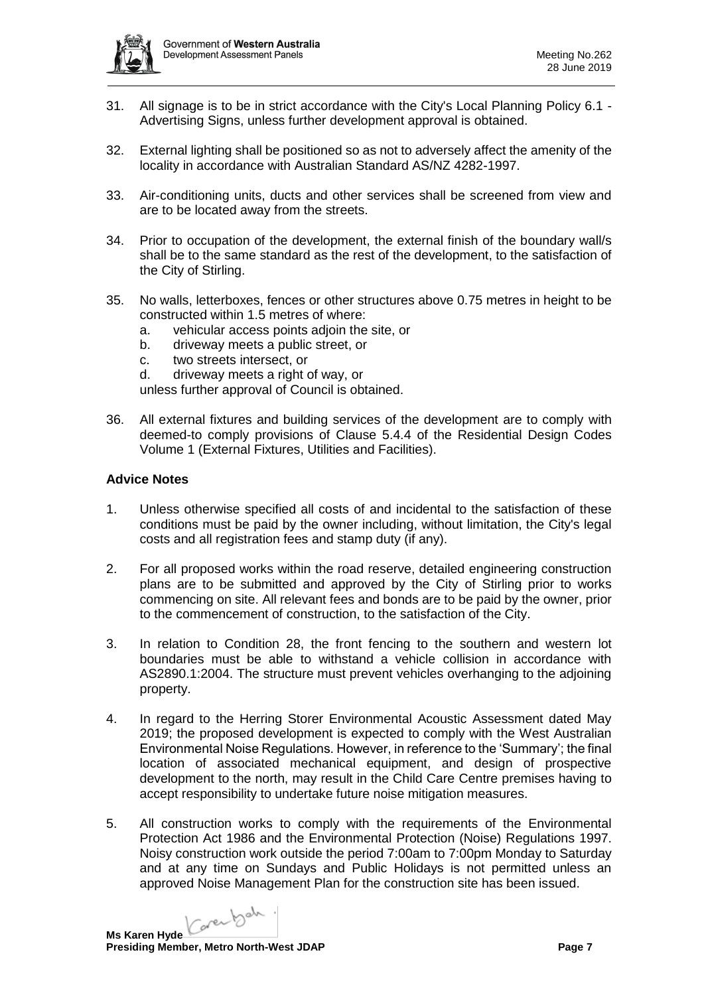

- 31. All signage is to be in strict accordance with the City's Local Planning Policy 6.1 Advertising Signs, unless further development approval is obtained.
- 32. External lighting shall be positioned so as not to adversely affect the amenity of the locality in accordance with Australian Standard AS/NZ 4282-1997.
- 33. Air-conditioning units, ducts and other services shall be screened from view and are to be located away from the streets.
- 34. Prior to occupation of the development, the external finish of the boundary wall/s shall be to the same standard as the rest of the development, to the satisfaction of the City of Stirling.
- 35. No walls, letterboxes, fences or other structures above 0.75 metres in height to be constructed within 1.5 metres of where:
	- a. vehicular access points adjoin the site, or
	- b. driveway meets a public street, or
	- c. two streets intersect, or
	- d. driveway meets a right of way, or

unless further approval of Council is obtained.

36. All external fixtures and building services of the development are to comply with deemed-to comply provisions of Clause 5.4.4 of the Residential Design Codes Volume 1 (External Fixtures, Utilities and Facilities).

### **Advice Notes**

- 1. Unless otherwise specified all costs of and incidental to the satisfaction of these conditions must be paid by the owner including, without limitation, the City's legal costs and all registration fees and stamp duty (if any).
- 2. For all proposed works within the road reserve, detailed engineering construction plans are to be submitted and approved by the City of Stirling prior to works commencing on site. All relevant fees and bonds are to be paid by the owner, prior to the commencement of construction, to the satisfaction of the City.
- 3. In relation to Condition 28, the front fencing to the southern and western lot boundaries must be able to withstand a vehicle collision in accordance with AS2890.1:2004. The structure must prevent vehicles overhanging to the adjoining property.
- 4. In regard to the Herring Storer Environmental Acoustic Assessment dated May 2019; the proposed development is expected to comply with the West Australian Environmental Noise Regulations. However, in reference to the 'Summary'; the final location of associated mechanical equipment, and design of prospective development to the north, may result in the Child Care Centre premises having to accept responsibility to undertake future noise mitigation measures.
- 5. All construction works to comply with the requirements of the Environmental Protection Act 1986 and the Environmental Protection (Noise) Regulations 1997. Noisy construction work outside the period 7:00am to 7:00pm Monday to Saturday and at any time on Sundays and Public Holidays is not permitted unless an approved Noise Management Plan for the construction site has been issued.

Carental . **Ms Karen Hyde**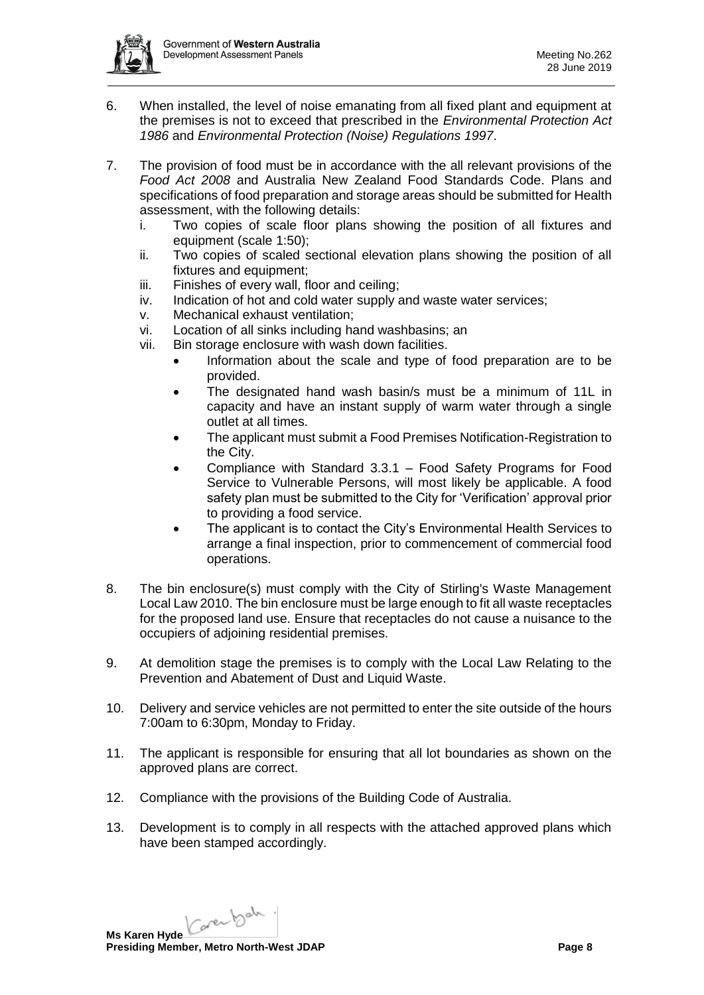

- 6. When installed, the level of noise emanating from all fixed plant and equipment at the premises is not to exceed that prescribed in the *Environmental Protection Act 1986* and *Environmental Protection (Noise) Regulations 1997*.
- 7. The provision of food must be in accordance with the all relevant provisions of the *Food Act 2008* and Australia New Zealand Food Standards Code. Plans and specifications of food preparation and storage areas should be submitted for Health assessment, with the following details:
	- i. Two copies of scale floor plans showing the position of all fixtures and equipment (scale 1:50);
	- ii. Two copies of scaled sectional elevation plans showing the position of all fixtures and equipment;
	- iii. Finishes of every wall, floor and ceiling;
	- iv. Indication of hot and cold water supply and waste water services;
	- v. Mechanical exhaust ventilation;
	- vi. Location of all sinks including hand washbasins; an
	- vii. Bin storage enclosure with wash down facilities.
		- Information about the scale and type of food preparation are to be provided.
		- The designated hand wash basin/s must be a minimum of 11L in capacity and have an instant supply of warm water through a single outlet at all times.
		- The applicant must submit a Food Premises Notification-Registration to the City.
		- Compliance with Standard 3.3.1 Food Safety Programs for Food Service to Vulnerable Persons, will most likely be applicable. A food safety plan must be submitted to the City for 'Verification' approval prior to providing a food service.
		- The applicant is to contact the City's Environmental Health Services to arrange a final inspection, prior to commencement of commercial food operations.
- 8. The bin enclosure(s) must comply with the City of Stirling's Waste Management Local Law 2010. The bin enclosure must be large enough to fit all waste receptacles for the proposed land use. Ensure that receptacles do not cause a nuisance to the occupiers of adjoining residential premises.
- 9. At demolition stage the premises is to comply with the Local Law Relating to the Prevention and Abatement of Dust and Liquid Waste.
- 10. Delivery and service vehicles are not permitted to enter the site outside of the hours 7:00am to 6:30pm, Monday to Friday.
- 11. The applicant is responsible for ensuring that all lot boundaries as shown on the approved plans are correct.
- 12. Compliance with the provisions of the Building Code of Australia.
- 13. Development is to comply in all respects with the attached approved plans which have been stamped accordingly.

Karenbah. **Ms Karen Hyde**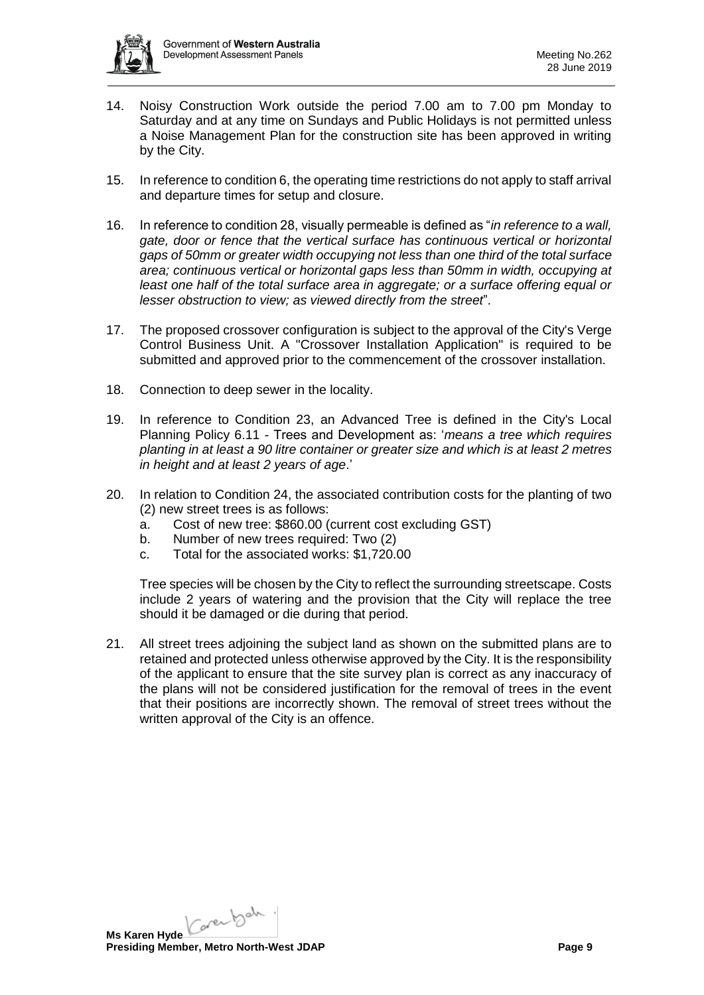

- 14. Noisy Construction Work outside the period 7.00 am to 7.00 pm Monday to Saturday and at any time on Sundays and Public Holidays is not permitted unless a Noise Management Plan for the construction site has been approved in writing by the City.
- 15. In reference to condition 6, the operating time restrictions do not apply to staff arrival and departure times for setup and closure.
- 16. In reference to condition 28, visually permeable is defined as "*in reference to a wall, gate, door or fence that the vertical surface has continuous vertical or horizontal gaps of 50mm or greater width occupying not less than one third of the total surface area; continuous vertical or horizontal gaps less than 50mm in width, occupying at least one half of the total surface area in aggregate; or a surface offering equal or lesser obstruction to view; as viewed directly from the street*".
- 17. The proposed crossover configuration is subject to the approval of the City's Verge Control Business Unit. A "Crossover Installation Application" is required to be submitted and approved prior to the commencement of the crossover installation.
- 18. Connection to deep sewer in the locality.
- 19. In reference to Condition 23, an Advanced Tree is defined in the City's Local Planning Policy 6.11 - Trees and Development as: '*means a tree which requires planting in at least a 90 litre container or greater size and which is at least 2 metres in height and at least 2 years of age*.'
- 20. In relation to Condition 24, the associated contribution costs for the planting of two (2) new street trees is as follows:
	- a. Cost of new tree: \$860.00 (current cost excluding GST)
	- b. Number of new trees required: Two (2)
	- c. Total for the associated works: \$1,720.00

Tree species will be chosen by the City to reflect the surrounding streetscape. Costs include 2 years of watering and the provision that the City will replace the tree should it be damaged or die during that period.

21. All street trees adjoining the subject land as shown on the submitted plans are to retained and protected unless otherwise approved by the City. It is the responsibility of the applicant to ensure that the site survey plan is correct as any inaccuracy of the plans will not be considered justification for the removal of trees in the event that their positions are incorrectly shown. The removal of street trees without the written approval of the City is an offence.

Karenbah. **Ms Karen Hyde Presiding Member, Metro North-West JDAP Page 9 Page 9**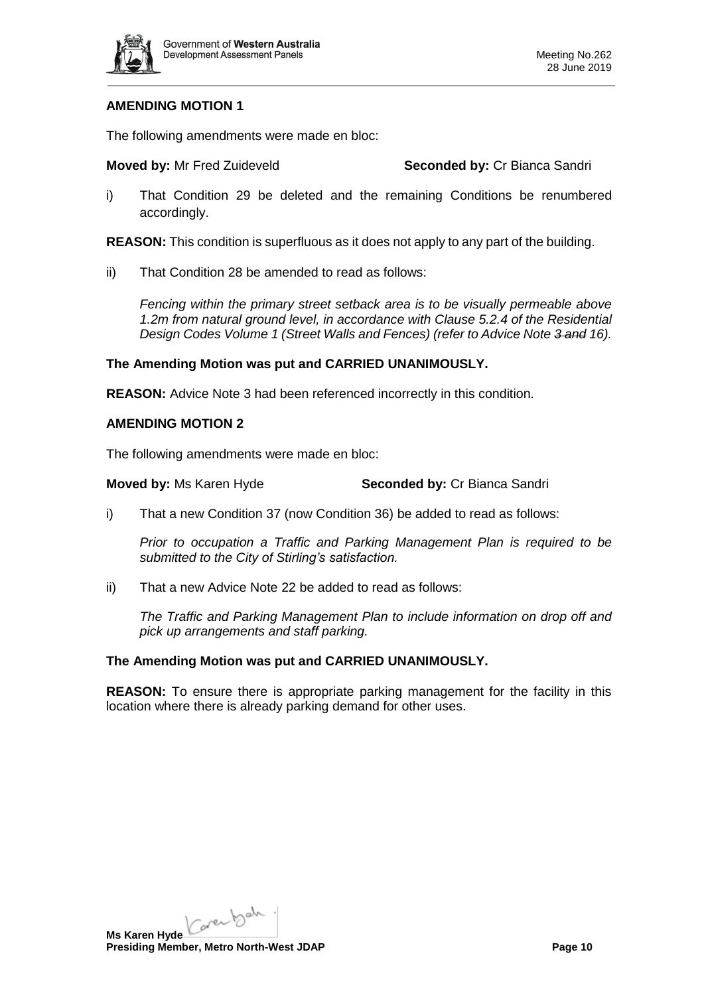

# **AMENDING MOTION 1**

The following amendments were made en bloc:

**Moved by:** Mr Fred Zuideveld **Seconded by:** Cr Bianca Sandri

i) That Condition 29 be deleted and the remaining Conditions be renumbered accordingly.

**REASON:** This condition is superfluous as it does not apply to any part of the building.

ii) That Condition 28 be amended to read as follows:

*Fencing within the primary street setback area is to be visually permeable above 1.2m from natural ground level, in accordance with Clause 5.2.4 of the Residential Design Codes Volume 1 (Street Walls and Fences) (refer to Advice Note 3 and 16).*

### **The Amending Motion was put and CARRIED UNANIMOUSLY.**

**REASON:** Advice Note 3 had been referenced incorrectly in this condition.

### **AMENDING MOTION 2**

The following amendments were made en bloc:

**Moved by:** Ms Karen Hyde **Seconded by:** Cr Bianca Sandri

i) That a new Condition 37 (now Condition 36) be added to read as follows:

*Prior to occupation a Traffic and Parking Management Plan is required to be submitted to the City of Stirling's satisfaction.*

ii) That a new Advice Note 22 be added to read as follows:

*The Traffic and Parking Management Plan to include information on drop off and pick up arrangements and staff parking.*

#### **The Amending Motion was put and CARRIED UNANIMOUSLY.**

**REASON:** To ensure there is appropriate parking management for the facility in this location where there is already parking demand for other uses.

Karenbah. **Ms Karen Hyde**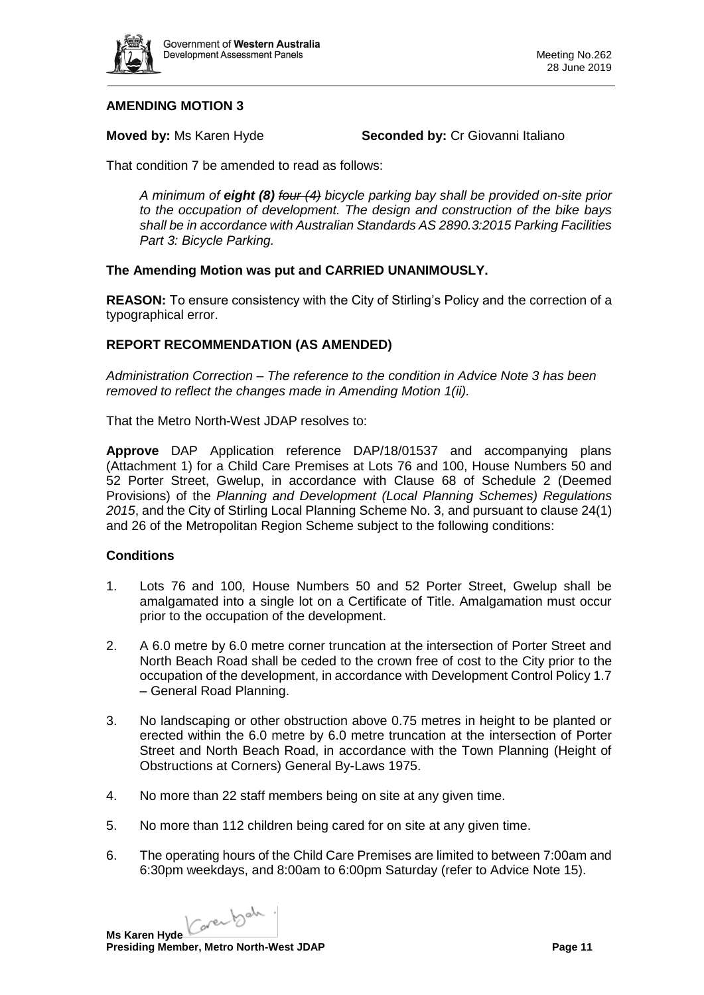

# **AMENDING MOTION 3**

**Moved by:** Ms Karen Hyde **Seconded by:** Cr Giovanni Italiano

That condition 7 be amended to read as follows:

*A minimum of eight (8) four (4) bicycle parking bay shall be provided on-site prior to the occupation of development. The design and construction of the bike bays shall be in accordance with Australian Standards AS 2890.3:2015 Parking Facilities Part 3: Bicycle Parking.*

# **The Amending Motion was put and CARRIED UNANIMOUSLY.**

**REASON:** To ensure consistency with the City of Stirling's Policy and the correction of a typographical error.

# **REPORT RECOMMENDATION (AS AMENDED)**

*Administration Correction – The reference to the condition in Advice Note 3 has been removed to reflect the changes made in Amending Motion 1(ii).*

That the Metro North-West JDAP resolves to:

**Approve** DAP Application reference DAP/18/01537 and accompanying plans (Attachment 1) for a Child Care Premises at Lots 76 and 100, House Numbers 50 and 52 Porter Street, Gwelup, in accordance with Clause 68 of Schedule 2 (Deemed Provisions) of the *Planning and Development (Local Planning Schemes) Regulations 2015*, and the City of Stirling Local Planning Scheme No. 3, and pursuant to clause 24(1) and 26 of the Metropolitan Region Scheme subject to the following conditions:

#### **Conditions**

- 1. Lots 76 and 100, House Numbers 50 and 52 Porter Street, Gwelup shall be amalgamated into a single lot on a Certificate of Title. Amalgamation must occur prior to the occupation of the development.
- 2. A 6.0 metre by 6.0 metre corner truncation at the intersection of Porter Street and North Beach Road shall be ceded to the crown free of cost to the City prior to the occupation of the development, in accordance with Development Control Policy 1.7 – General Road Planning.
- 3. No landscaping or other obstruction above 0.75 metres in height to be planted or erected within the 6.0 metre by 6.0 metre truncation at the intersection of Porter Street and North Beach Road, in accordance with the Town Planning (Height of Obstructions at Corners) General By-Laws 1975.
- 4. No more than 22 staff members being on site at any given time.
- 5. No more than 112 children being cared for on site at any given time.
- 6. The operating hours of the Child Care Premises are limited to between 7:00am and 6:30pm weekdays, and 8:00am to 6:00pm Saturday (refer to Advice Note 15).

Ms Karen Hyde Care back.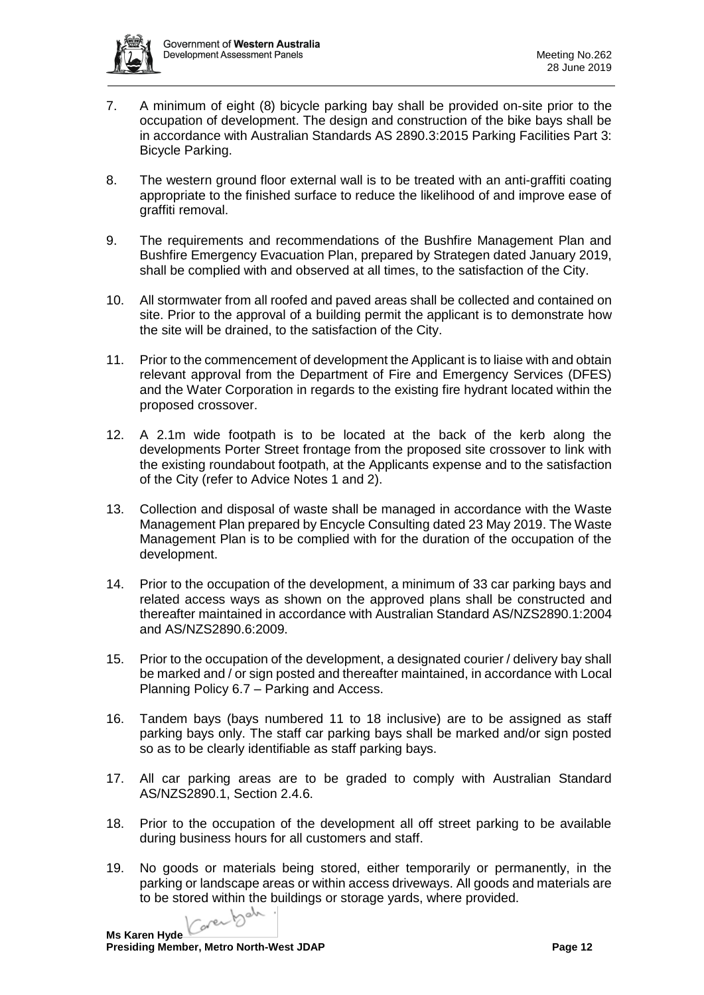

- 7. A minimum of eight (8) bicycle parking bay shall be provided on-site prior to the occupation of development. The design and construction of the bike bays shall be in accordance with Australian Standards AS 2890.3:2015 Parking Facilities Part 3: Bicycle Parking.
- 8. The western ground floor external wall is to be treated with an anti-graffiti coating appropriate to the finished surface to reduce the likelihood of and improve ease of graffiti removal.
- 9. The requirements and recommendations of the Bushfire Management Plan and Bushfire Emergency Evacuation Plan, prepared by Strategen dated January 2019, shall be complied with and observed at all times, to the satisfaction of the City.
- 10. All stormwater from all roofed and paved areas shall be collected and contained on site. Prior to the approval of a building permit the applicant is to demonstrate how the site will be drained, to the satisfaction of the City.
- 11. Prior to the commencement of development the Applicant is to liaise with and obtain relevant approval from the Department of Fire and Emergency Services (DFES) and the Water Corporation in regards to the existing fire hydrant located within the proposed crossover.
- 12. A 2.1m wide footpath is to be located at the back of the kerb along the developments Porter Street frontage from the proposed site crossover to link with the existing roundabout footpath, at the Applicants expense and to the satisfaction of the City (refer to Advice Notes 1 and 2).
- 13. Collection and disposal of waste shall be managed in accordance with the Waste Management Plan prepared by Encycle Consulting dated 23 May 2019. The Waste Management Plan is to be complied with for the duration of the occupation of the development.
- 14. Prior to the occupation of the development, a minimum of 33 car parking bays and related access ways as shown on the approved plans shall be constructed and thereafter maintained in accordance with Australian Standard AS/NZS2890.1:2004 and AS/NZS2890.6:2009.
- 15. Prior to the occupation of the development, a designated courier / delivery bay shall be marked and / or sign posted and thereafter maintained, in accordance with Local Planning Policy 6.7 – Parking and Access.
- 16. Tandem bays (bays numbered 11 to 18 inclusive) are to be assigned as staff parking bays only. The staff car parking bays shall be marked and/or sign posted so as to be clearly identifiable as staff parking bays.
- 17. All car parking areas are to be graded to comply with Australian Standard AS/NZS2890.1, Section 2.4.6.
- 18. Prior to the occupation of the development all off street parking to be available during business hours for all customers and staff.
- 19. No goods or materials being stored, either temporarily or permanently, in the parking or landscape areas or within access driveways. All goods and materials are to be stored within the buildings or storage yards, where provided.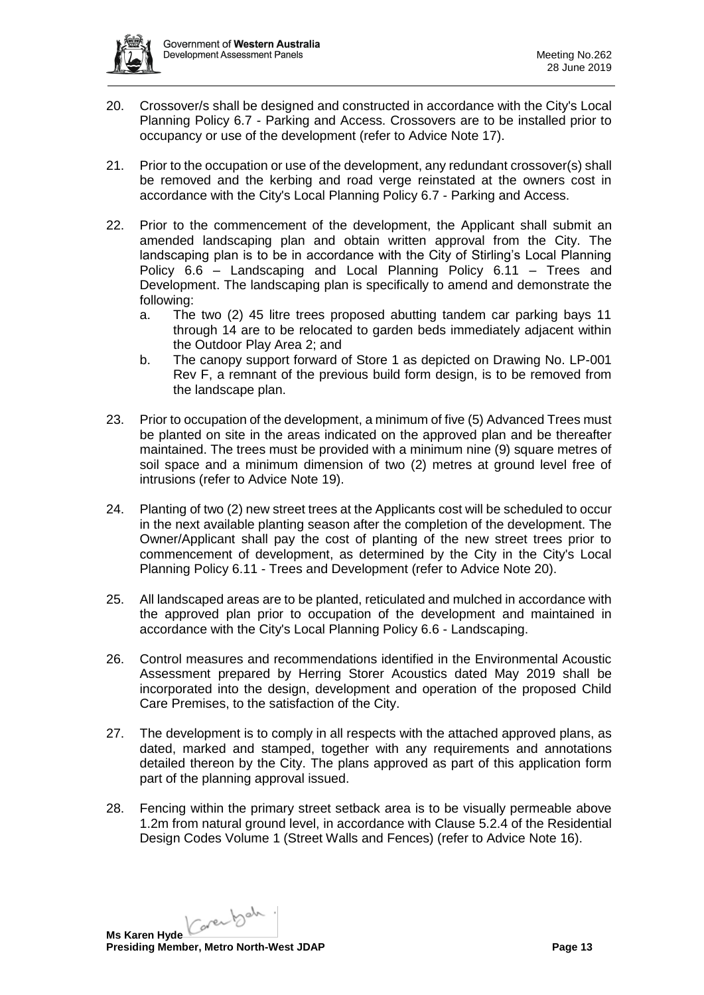

- 20. Crossover/s shall be designed and constructed in accordance with the City's Local Planning Policy 6.7 - Parking and Access. Crossovers are to be installed prior to occupancy or use of the development (refer to Advice Note 17).
- 21. Prior to the occupation or use of the development, any redundant crossover(s) shall be removed and the kerbing and road verge reinstated at the owners cost in accordance with the City's Local Planning Policy 6.7 - Parking and Access.
- 22. Prior to the commencement of the development, the Applicant shall submit an amended landscaping plan and obtain written approval from the City. The landscaping plan is to be in accordance with the City of Stirling's Local Planning Policy 6.6 – Landscaping and Local Planning Policy 6.11 – Trees and Development. The landscaping plan is specifically to amend and demonstrate the following:
	- a. The two (2) 45 litre trees proposed abutting tandem car parking bays 11 through 14 are to be relocated to garden beds immediately adjacent within the Outdoor Play Area 2; and
	- b. The canopy support forward of Store 1 as depicted on Drawing No. LP-001 Rev F, a remnant of the previous build form design, is to be removed from the landscape plan.
- 23. Prior to occupation of the development, a minimum of five (5) Advanced Trees must be planted on site in the areas indicated on the approved plan and be thereafter maintained. The trees must be provided with a minimum nine (9) square metres of soil space and a minimum dimension of two (2) metres at ground level free of intrusions (refer to Advice Note 19).
- 24. Planting of two (2) new street trees at the Applicants cost will be scheduled to occur in the next available planting season after the completion of the development. The Owner/Applicant shall pay the cost of planting of the new street trees prior to commencement of development, as determined by the City in the City's Local Planning Policy 6.11 - Trees and Development (refer to Advice Note 20).
- 25. All landscaped areas are to be planted, reticulated and mulched in accordance with the approved plan prior to occupation of the development and maintained in accordance with the City's Local Planning Policy 6.6 - Landscaping.
- 26. Control measures and recommendations identified in the Environmental Acoustic Assessment prepared by Herring Storer Acoustics dated May 2019 shall be incorporated into the design, development and operation of the proposed Child Care Premises, to the satisfaction of the City.
- 27. The development is to comply in all respects with the attached approved plans, as dated, marked and stamped, together with any requirements and annotations detailed thereon by the City. The plans approved as part of this application form part of the planning approval issued.
- 28. Fencing within the primary street setback area is to be visually permeable above 1.2m from natural ground level, in accordance with Clause 5.2.4 of the Residential Design Codes Volume 1 (Street Walls and Fences) (refer to Advice Note 16).

Karenbah. **Ms Karen Hyde**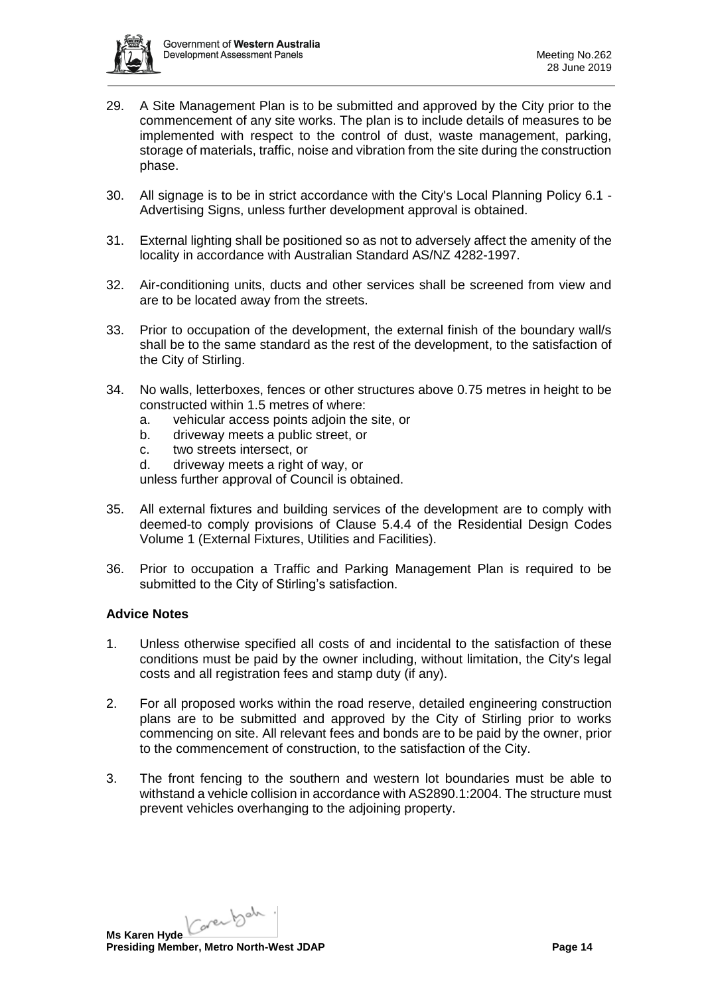

- 29. A Site Management Plan is to be submitted and approved by the City prior to the commencement of any site works. The plan is to include details of measures to be implemented with respect to the control of dust, waste management, parking, storage of materials, traffic, noise and vibration from the site during the construction phase.
- 30. All signage is to be in strict accordance with the City's Local Planning Policy 6.1 Advertising Signs, unless further development approval is obtained.
- 31. External lighting shall be positioned so as not to adversely affect the amenity of the locality in accordance with Australian Standard AS/NZ 4282-1997.
- 32. Air-conditioning units, ducts and other services shall be screened from view and are to be located away from the streets.
- 33. Prior to occupation of the development, the external finish of the boundary wall/s shall be to the same standard as the rest of the development, to the satisfaction of the City of Stirling.
- 34. No walls, letterboxes, fences or other structures above 0.75 metres in height to be constructed within 1.5 metres of where:
	- a. vehicular access points adjoin the site, or
	- b. driveway meets a public street, or
	- c. two streets intersect, or
	- d. driveway meets a right of way, or

unless further approval of Council is obtained.

- 35. All external fixtures and building services of the development are to comply with deemed-to comply provisions of Clause 5.4.4 of the Residential Design Codes Volume 1 (External Fixtures, Utilities and Facilities).
- 36. Prior to occupation a Traffic and Parking Management Plan is required to be submitted to the City of Stirling's satisfaction.

#### **Advice Notes**

- 1. Unless otherwise specified all costs of and incidental to the satisfaction of these conditions must be paid by the owner including, without limitation, the City's legal costs and all registration fees and stamp duty (if any).
- 2. For all proposed works within the road reserve, detailed engineering construction plans are to be submitted and approved by the City of Stirling prior to works commencing on site. All relevant fees and bonds are to be paid by the owner, prior to the commencement of construction, to the satisfaction of the City.
- 3. The front fencing to the southern and western lot boundaries must be able to withstand a vehicle collision in accordance with AS2890.1:2004. The structure must prevent vehicles overhanging to the adjoining property.

Karenbah. **Ms Karen Hyde Presiding Member, Metro North-West JDAP Page 14 Page 14**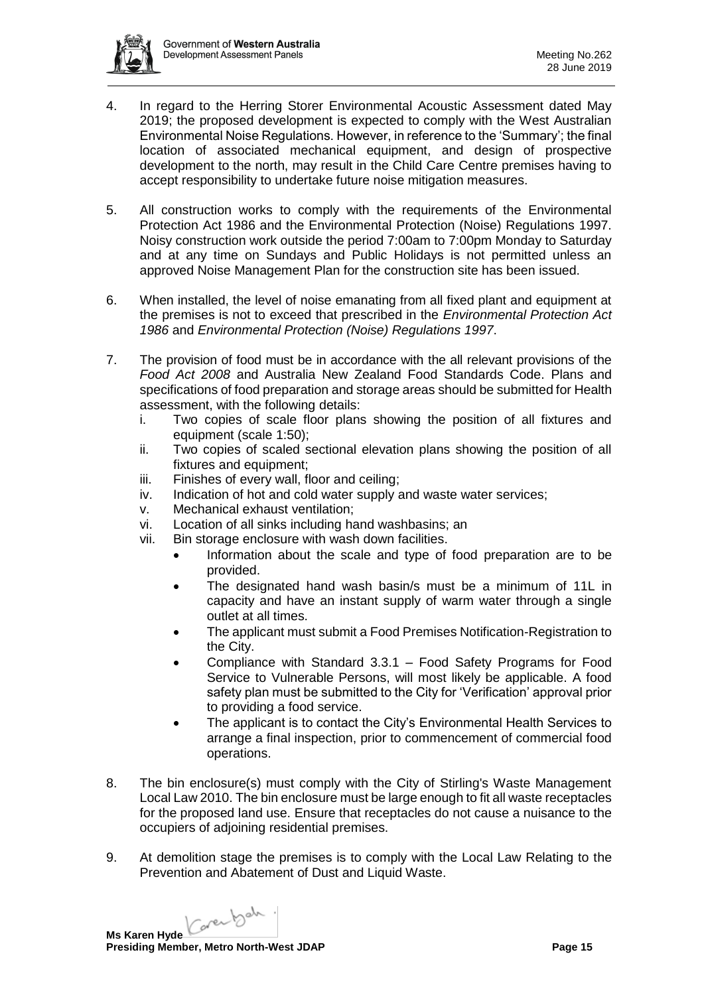

- 4. In regard to the Herring Storer Environmental Acoustic Assessment dated May 2019; the proposed development is expected to comply with the West Australian Environmental Noise Regulations. However, in reference to the 'Summary'; the final location of associated mechanical equipment, and design of prospective development to the north, may result in the Child Care Centre premises having to accept responsibility to undertake future noise mitigation measures.
- 5. All construction works to comply with the requirements of the Environmental Protection Act 1986 and the Environmental Protection (Noise) Regulations 1997. Noisy construction work outside the period 7:00am to 7:00pm Monday to Saturday and at any time on Sundays and Public Holidays is not permitted unless an approved Noise Management Plan for the construction site has been issued.
- 6. When installed, the level of noise emanating from all fixed plant and equipment at the premises is not to exceed that prescribed in the *Environmental Protection Act 1986* and *Environmental Protection (Noise) Regulations 1997*.
- 7. The provision of food must be in accordance with the all relevant provisions of the *Food Act 2008* and Australia New Zealand Food Standards Code. Plans and specifications of food preparation and storage areas should be submitted for Health assessment, with the following details:
	- i. Two copies of scale floor plans showing the position of all fixtures and equipment (scale 1:50);
	- ii. Two copies of scaled sectional elevation plans showing the position of all fixtures and equipment;
	- iii. Finishes of every wall, floor and ceiling;
	- iv. Indication of hot and cold water supply and waste water services;
	- v. Mechanical exhaust ventilation;
	- vi. Location of all sinks including hand washbasins; an
	- vii. Bin storage enclosure with wash down facilities.
		- Information about the scale and type of food preparation are to be provided.
		- The designated hand wash basin/s must be a minimum of 11L in capacity and have an instant supply of warm water through a single outlet at all times.
		- The applicant must submit a Food Premises Notification-Registration to the City.
		- Compliance with Standard 3.3.1 Food Safety Programs for Food Service to Vulnerable Persons, will most likely be applicable. A food safety plan must be submitted to the City for 'Verification' approval prior to providing a food service.
		- The applicant is to contact the City's Environmental Health Services to arrange a final inspection, prior to commencement of commercial food operations.
- 8. The bin enclosure(s) must comply with the City of Stirling's Waste Management Local Law 2010. The bin enclosure must be large enough to fit all waste receptacles for the proposed land use. Ensure that receptacles do not cause a nuisance to the occupiers of adjoining residential premises.
- 9. At demolition stage the premises is to comply with the Local Law Relating to the Prevention and Abatement of Dust and Liquid Waste.

Ms Karen Hyde Care back.

**Presiding Member, Metro North-West JDAP Page 15 Page 15**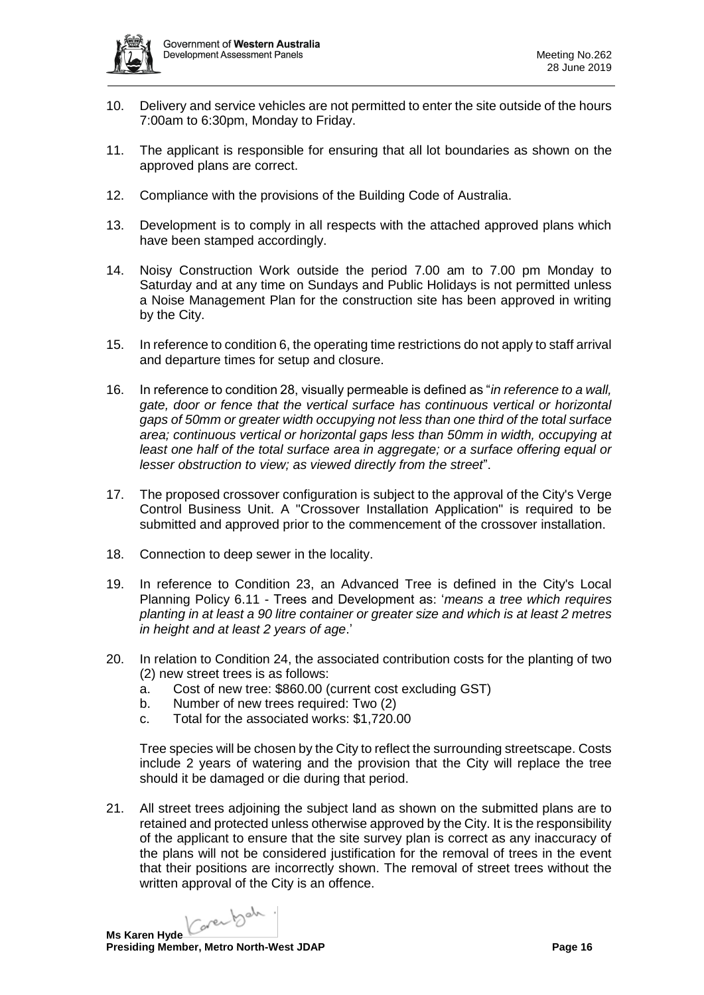

- 10. Delivery and service vehicles are not permitted to enter the site outside of the hours 7:00am to 6:30pm, Monday to Friday.
- 11. The applicant is responsible for ensuring that all lot boundaries as shown on the approved plans are correct.
- 12. Compliance with the provisions of the Building Code of Australia.
- 13. Development is to comply in all respects with the attached approved plans which have been stamped accordingly.
- 14. Noisy Construction Work outside the period 7.00 am to 7.00 pm Monday to Saturday and at any time on Sundays and Public Holidays is not permitted unless a Noise Management Plan for the construction site has been approved in writing by the City.
- 15. In reference to condition 6, the operating time restrictions do not apply to staff arrival and departure times for setup and closure.
- 16. In reference to condition 28, visually permeable is defined as "*in reference to a wall, gate, door or fence that the vertical surface has continuous vertical or horizontal gaps of 50mm or greater width occupying not less than one third of the total surface area; continuous vertical or horizontal gaps less than 50mm in width, occupying at least one half of the total surface area in aggregate; or a surface offering equal or lesser obstruction to view; as viewed directly from the street*".
- 17. The proposed crossover configuration is subject to the approval of the City's Verge Control Business Unit. A "Crossover Installation Application" is required to be submitted and approved prior to the commencement of the crossover installation.
- 18. Connection to deep sewer in the locality.
- 19. In reference to Condition 23, an Advanced Tree is defined in the City's Local Planning Policy 6.11 - Trees and Development as: '*means a tree which requires planting in at least a 90 litre container or greater size and which is at least 2 metres in height and at least 2 years of age*.'
- 20. In relation to Condition 24, the associated contribution costs for the planting of two (2) new street trees is as follows:
	- a. Cost of new tree: \$860.00 (current cost excluding GST)
	- b. Number of new trees required: Two (2)
	- c. Total for the associated works: \$1,720.00

Tree species will be chosen by the City to reflect the surrounding streetscape. Costs include 2 years of watering and the provision that the City will replace the tree should it be damaged or die during that period.

21. All street trees adjoining the subject land as shown on the submitted plans are to retained and protected unless otherwise approved by the City. It is the responsibility of the applicant to ensure that the site survey plan is correct as any inaccuracy of the plans will not be considered justification for the removal of trees in the event that their positions are incorrectly shown. The removal of street trees without the written approval of the City is an offence.

Carental . **Ms Karen Hyde**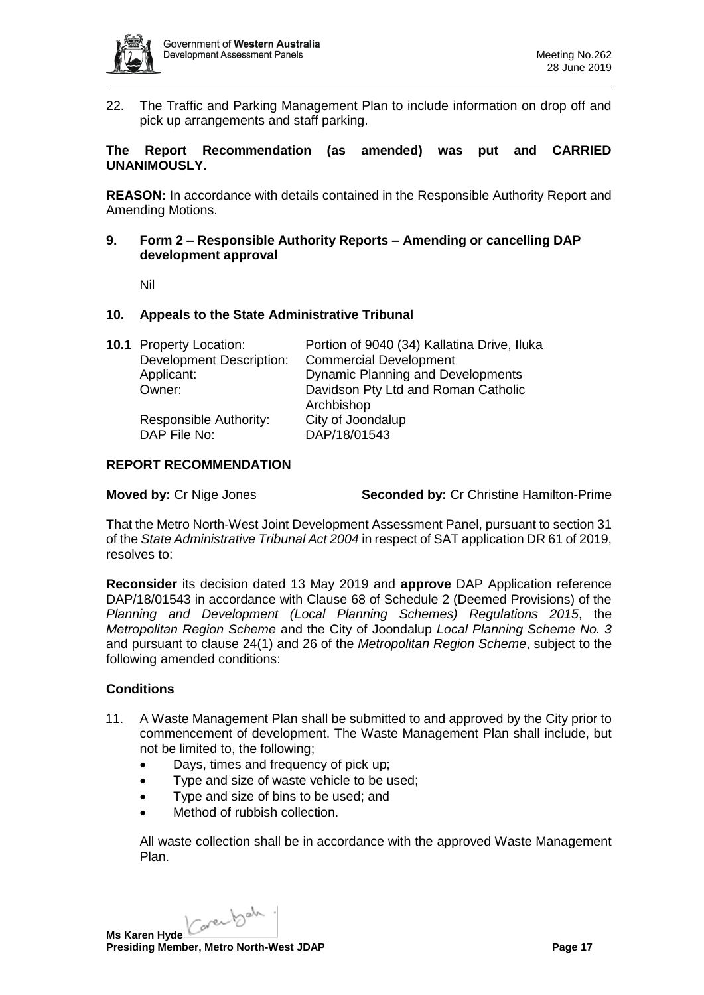

22. The Traffic and Parking Management Plan to include information on drop off and pick up arrangements and staff parking.

# **The Report Recommendation (as amended) was put and CARRIED UNANIMOUSLY.**

**REASON:** In accordance with details contained in the Responsible Authority Report and Amending Motions.

**9. Form 2 – Responsible Authority Reports – Amending or cancelling DAP development approval**

Nil

### **10. Appeals to the State Administrative Tribunal**

| <b>10.1 Property Location:</b>  | Portion of 9040 (34) Kallatina Drive, Iluka |
|---------------------------------|---------------------------------------------|
| <b>Development Description:</b> | <b>Commercial Development</b>               |
| Applicant:                      | <b>Dynamic Planning and Developments</b>    |
| Owner:                          | Davidson Pty Ltd and Roman Catholic         |
|                                 | Archbishop                                  |
| Responsible Authority:          | City of Joondalup                           |
| DAP File No:                    | DAP/18/01543                                |

#### **REPORT RECOMMENDATION**

**Moved by:** Cr Nige Jones **Seconded by:** Cr Christine Hamilton-Prime

That the Metro North-West Joint Development Assessment Panel, pursuant to section 31 of the *State Administrative Tribunal Act 2004* in respect of SAT application DR 61 of 2019, resolves to:

**Reconsider** its decision dated 13 May 2019 and **approve** DAP Application reference DAP/18/01543 in accordance with Clause 68 of Schedule 2 (Deemed Provisions) of the *Planning and Development (Local Planning Schemes) Regulations 2015*, the *Metropolitan Region Scheme* and the City of Joondalup *Local Planning Scheme No. 3* and pursuant to clause 24(1) and 26 of the *Metropolitan Region Scheme*, subject to the following amended conditions:

# **Conditions**

- 11. A Waste Management Plan shall be submitted to and approved by the City prior to commencement of development. The Waste Management Plan shall include, but not be limited to, the following;
	- Days, times and frequency of pick up;
	- Type and size of waste vehicle to be used;
	- Type and size of bins to be used; and
	- Method of rubbish collection.

All waste collection shall be in accordance with the approved Waste Management Plan.

Karenbah. **Ms Karen Hyde Presiding Member, Metro North-West JDAP Page 17 Page 17**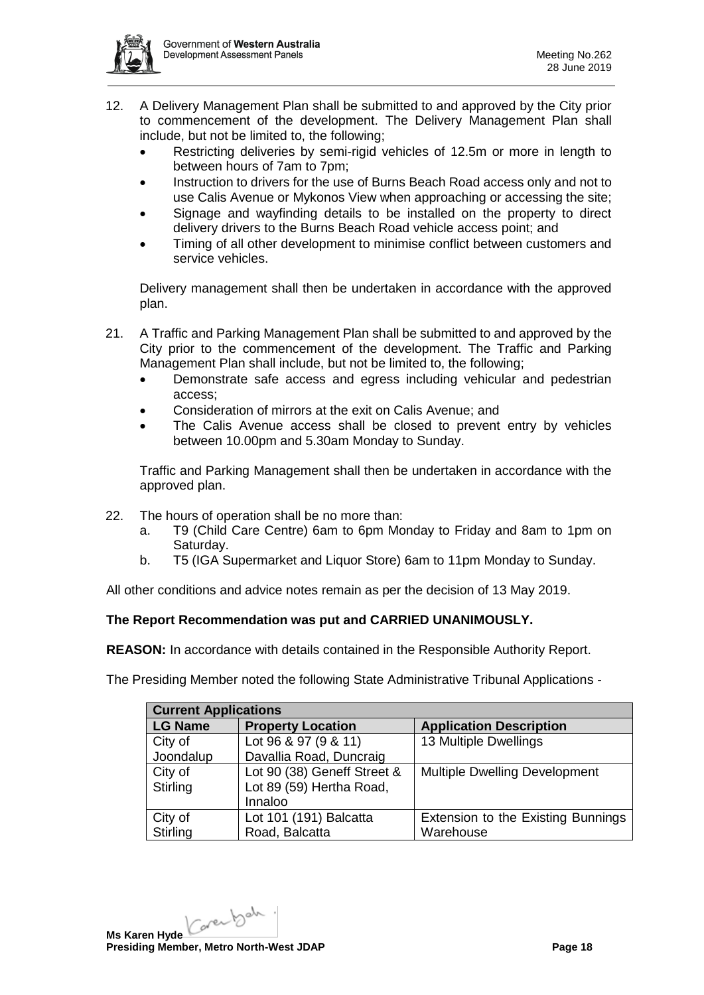

- 12. A Delivery Management Plan shall be submitted to and approved by the City prior to commencement of the development. The Delivery Management Plan shall include, but not be limited to, the following;
	- Restricting deliveries by semi-rigid vehicles of 12.5m or more in length to between hours of 7am to 7pm;
	- Instruction to drivers for the use of Burns Beach Road access only and not to use Calis Avenue or Mykonos View when approaching or accessing the site;
	- Signage and wayfinding details to be installed on the property to direct delivery drivers to the Burns Beach Road vehicle access point; and
	- Timing of all other development to minimise conflict between customers and service vehicles.

Delivery management shall then be undertaken in accordance with the approved plan.

- 21. A Traffic and Parking Management Plan shall be submitted to and approved by the City prior to the commencement of the development. The Traffic and Parking Management Plan shall include, but not be limited to, the following;
	- Demonstrate safe access and egress including vehicular and pedestrian access;
	- Consideration of mirrors at the exit on Calis Avenue; and
	- The Calis Avenue access shall be closed to prevent entry by vehicles between 10.00pm and 5.30am Monday to Sunday.

Traffic and Parking Management shall then be undertaken in accordance with the approved plan.

- 22. The hours of operation shall be no more than:
	- a. T9 (Child Care Centre) 6am to 6pm Monday to Friday and 8am to 1pm on Saturday.
	- b. T5 (IGA Supermarket and Liquor Store) 6am to 11pm Monday to Sunday.

All other conditions and advice notes remain as per the decision of 13 May 2019.

# **The Report Recommendation was put and CARRIED UNANIMOUSLY.**

**REASON:** In accordance with details contained in the Responsible Authority Report.

The Presiding Member noted the following State Administrative Tribunal Applications -

| <b>Current Applications</b> |                             |                                      |  |  |  |
|-----------------------------|-----------------------------|--------------------------------------|--|--|--|
| <b>LG Name</b>              | <b>Property Location</b>    | <b>Application Description</b>       |  |  |  |
| City of                     | Lot 96 & 97 (9 & 11)        | 13 Multiple Dwellings                |  |  |  |
| Joondalup                   | Davallia Road, Duncraig     |                                      |  |  |  |
| City of                     | Lot 90 (38) Geneff Street & | <b>Multiple Dwelling Development</b> |  |  |  |
| Stirling                    | Lot 89 (59) Hertha Road,    |                                      |  |  |  |
|                             | Innaloo                     |                                      |  |  |  |
| City of                     | Lot 101 (191) Balcatta      | Extension to the Existing Bunnings   |  |  |  |
| Stirling                    | Road, Balcatta              | Warehouse                            |  |  |  |

Karenbah. **Ms Karen Hyde Presiding Member, Metro North-West JDAP Page 18 Page 18**